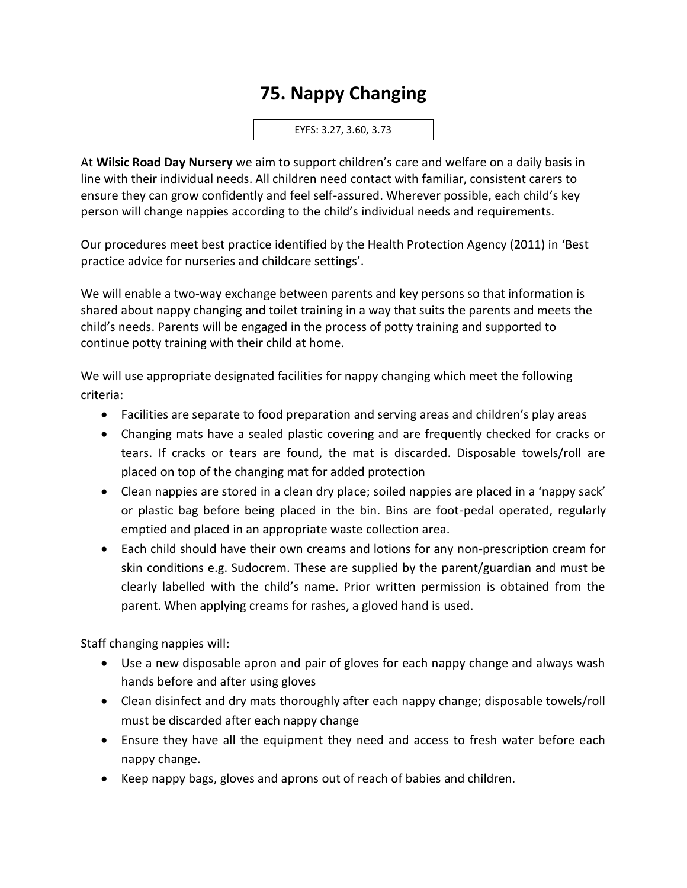## **75. Nappy Changing**

EYFS: 3.27, 3.60, 3.73

At **Wilsic Road Day Nursery** we aim to support children's care and welfare on a daily basis in line with their individual needs. All children need contact with familiar, consistent carers to ensure they can grow confidently and feel self-assured. Wherever possible, each child's key person will change nappies according to the child's individual needs and requirements.

Our procedures meet best practice identified by the Health Protection Agency (2011) in 'Best practice advice for nurseries and childcare settings'.

We will enable a two-way exchange between parents and key persons so that information is shared about nappy changing and toilet training in a way that suits the parents and meets the child's needs. Parents will be engaged in the process of potty training and supported to continue potty training with their child at home.

We will use appropriate designated facilities for nappy changing which meet the following criteria:

- Facilities are separate to food preparation and serving areas and children's play areas
- Changing mats have a sealed plastic covering and are frequently checked for cracks or tears. If cracks or tears are found, the mat is discarded. Disposable towels/roll are placed on top of the changing mat for added protection
- Clean nappies are stored in a clean dry place; soiled nappies are placed in a 'nappy sack' or plastic bag before being placed in the bin. Bins are foot-pedal operated, regularly emptied and placed in an appropriate waste collection area.
- Each child should have their own creams and lotions for any non-prescription cream for skin conditions e.g. Sudocrem. These are supplied by the parent/guardian and must be clearly labelled with the child's name. Prior written permission is obtained from the parent. When applying creams for rashes, a gloved hand is used.

Staff changing nappies will:

- Use a new disposable apron and pair of gloves for each nappy change and always wash hands before and after using gloves
- Clean disinfect and dry mats thoroughly after each nappy change; disposable towels/roll must be discarded after each nappy change
- Ensure they have all the equipment they need and access to fresh water before each nappy change.
- Keep nappy bags, gloves and aprons out of reach of babies and children.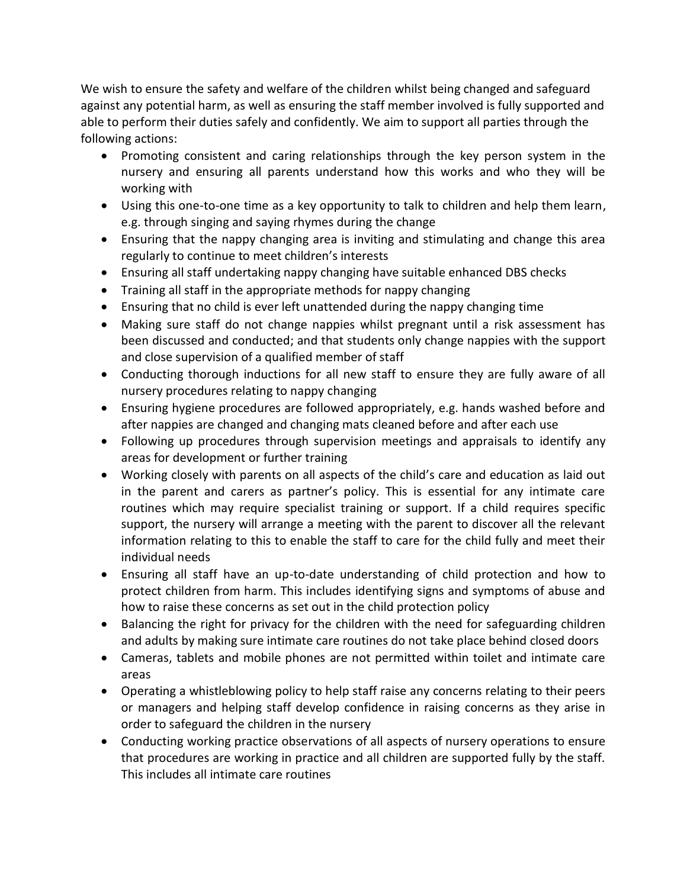We wish to ensure the safety and welfare of the children whilst being changed and safeguard against any potential harm, as well as ensuring the staff member involved is fully supported and able to perform their duties safely and confidently. We aim to support all parties through the following actions:

- Promoting consistent and caring relationships through the key person system in the nursery and ensuring all parents understand how this works and who they will be working with
- Using this one-to-one time as a key opportunity to talk to children and help them learn, e.g. through singing and saying rhymes during the change
- Ensuring that the nappy changing area is inviting and stimulating and change this area regularly to continue to meet children's interests
- Ensuring all staff undertaking nappy changing have suitable enhanced DBS checks
- Training all staff in the appropriate methods for nappy changing
- Ensuring that no child is ever left unattended during the nappy changing time
- Making sure staff do not change nappies whilst pregnant until a risk assessment has been discussed and conducted; and that students only change nappies with the support and close supervision of a qualified member of staff
- Conducting thorough inductions for all new staff to ensure they are fully aware of all nursery procedures relating to nappy changing
- Ensuring hygiene procedures are followed appropriately, e.g. hands washed before and after nappies are changed and changing mats cleaned before and after each use
- Following up procedures through supervision meetings and appraisals to identify any areas for development or further training
- Working closely with parents on all aspects of the child's care and education as laid out in the parent and carers as partner's policy. This is essential for any intimate care routines which may require specialist training or support. If a child requires specific support, the nursery will arrange a meeting with the parent to discover all the relevant information relating to this to enable the staff to care for the child fully and meet their individual needs
- Ensuring all staff have an up-to-date understanding of child protection and how to protect children from harm. This includes identifying signs and symptoms of abuse and how to raise these concerns as set out in the child protection policy
- Balancing the right for privacy for the children with the need for safeguarding children and adults by making sure intimate care routines do not take place behind closed doors
- Cameras, tablets and mobile phones are not permitted within toilet and intimate care areas
- Operating a whistleblowing policy to help staff raise any concerns relating to their peers or managers and helping staff develop confidence in raising concerns as they arise in order to safeguard the children in the nursery
- Conducting working practice observations of all aspects of nursery operations to ensure that procedures are working in practice and all children are supported fully by the staff. This includes all intimate care routines